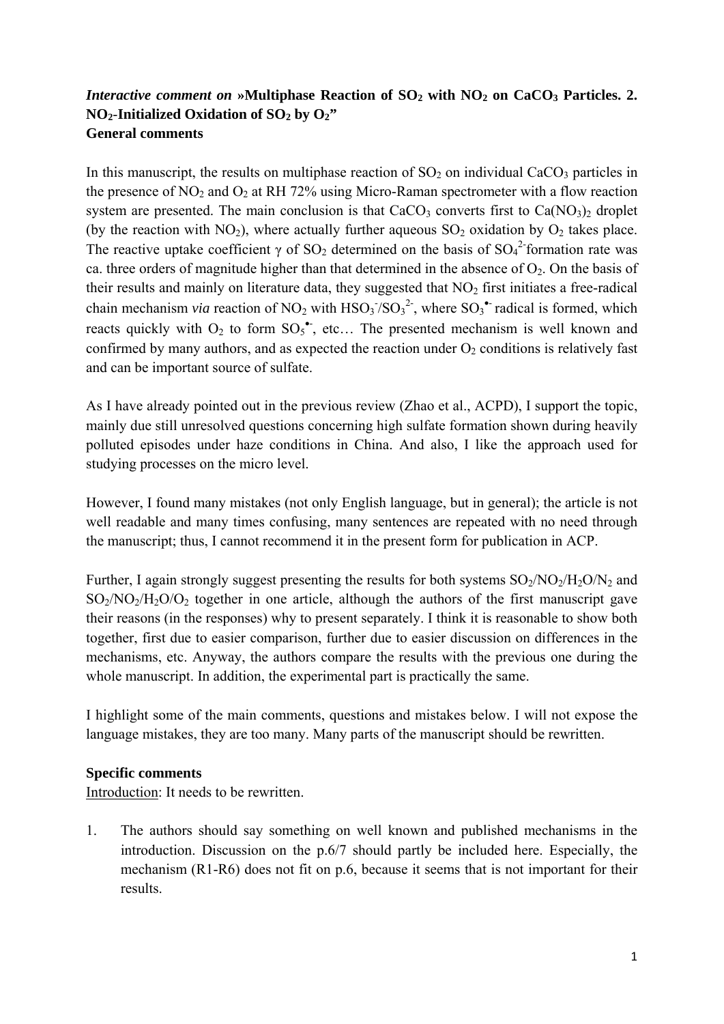## *Interactive comment on* »Multiphase Reaction of SO<sub>2</sub> with NO<sub>2</sub> on CaCO<sub>3</sub> Particles. 2.  $NO<sub>2</sub>$ -Initialized Oxidation of  $SO<sub>2</sub>$  by  $O<sub>2</sub>$ " **General comments**

In this manuscript, the results on multiphase reaction of  $SO<sub>2</sub>$  on individual CaCO<sub>3</sub> particles in the presence of  $NO_2$  and  $O_2$  at RH 72% using Micro-Raman spectrometer with a flow reaction system are presented. The main conclusion is that  $CaCO<sub>3</sub>$  converts first to  $Ca(NO<sub>3</sub>)<sub>2</sub>$  droplet (by the reaction with  $NO<sub>2</sub>$ ), where actually further aqueous  $SO<sub>2</sub>$  oxidation by  $O<sub>2</sub>$  takes place. The reactive uptake coefficient  $\gamma$  of SO<sub>2</sub> determined on the basis of SO<sub>4</sub><sup>2</sup>-formation rate was ca. three orders of magnitude higher than that determined in the absence of  $O_2$ . On the basis of their results and mainly on literature data, they suggested that  $NO<sub>2</sub>$  first initiates a free-radical chain mechanism *via* reaction of NO<sub>2</sub> with  $HSO<sub>3</sub><sup>-</sup>/SO<sub>3</sub><sup>2</sup>$ , where SO<sub>3</sub><sup>\*</sup> radical is formed, which reacts quickly with  $O_2$  to form  $SO_5^{\bullet}$ , etc... The presented mechanism is well known and confirmed by many authors, and as expected the reaction under  $O_2$  conditions is relatively fast and can be important source of sulfate.

As I have already pointed out in the previous review (Zhao et al., ACPD), I support the topic, mainly due still unresolved questions concerning high sulfate formation shown during heavily polluted episodes under haze conditions in China. And also, I like the approach used for studying processes on the micro level.

However, I found many mistakes (not only English language, but in general); the article is not well readable and many times confusing, many sentences are repeated with no need through the manuscript; thus, I cannot recommend it in the present form for publication in ACP.

Further, I again strongly suggest presenting the results for both systems  $SO_2/NO_2/H_2O/N_2$  and  $SO<sub>2</sub>/NO<sub>2</sub>/H<sub>2</sub>O/O<sub>2</sub>$  together in one article, although the authors of the first manuscript gave their reasons (in the responses) why to present separately. I think it is reasonable to show both together, first due to easier comparison, further due to easier discussion on differences in the mechanisms, etc. Anyway, the authors compare the results with the previous one during the whole manuscript. In addition, the experimental part is practically the same.

I highlight some of the main comments, questions and mistakes below. I will not expose the language mistakes, they are too many. Many parts of the manuscript should be rewritten.

## **Specific comments**

Introduction: It needs to be rewritten.

1. The authors should say something on well known and published mechanisms in the introduction. Discussion on the p.6/7 should partly be included here. Especially, the mechanism (R1-R6) does not fit on p.6, because it seems that is not important for their results.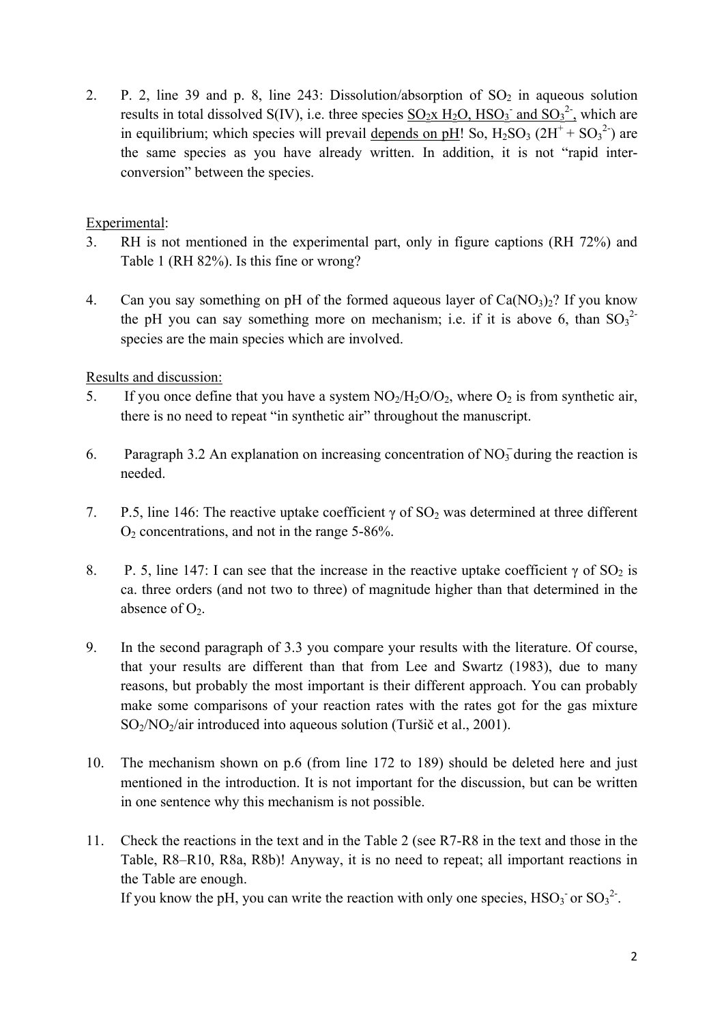2. P. 2, line 39 and p. 8, line 243: Dissolution/absorption of  $SO_2$  in aqueous solution results in total dissolved S(IV), i.e. three species  $\underline{SO_2x \ H_2O, HSO_3}$  and  $SO_3^2$ , which are in equilibrium; which species will prevail <u>depends on pH</u>! So,  $H_2SO_3 (2H^+ + SO_3^2)$  are the same species as you have already written. In addition, it is not "rapid interconversion" between the species.

## Experimental:

- 3. RH is not mentioned in the experimental part, only in figure captions (RH 72%) and Table 1 (RH 82%). Is this fine or wrong?
- 4. Can you say something on pH of the formed aqueous layer of  $Ca(NO<sub>3</sub>)<sub>2</sub>$ ? If you know the pH you can say something more on mechanism; i.e. if it is above 6, than  $SO_3^2$ species are the main species which are involved.

Results and discussion:

- 5. If you once define that you have a system  $NO<sub>2</sub>/H<sub>2</sub>O/O<sub>2</sub>$ , where  $O<sub>2</sub>$  is from synthetic air, there is no need to repeat "in synthetic air" throughout the manuscript.
- 6. Paragraph 3.2 An explanation on increasing concentration of  $NO_3^-$  during the reaction is ̶ needed.
- 7. P.5, line 146: The reactive uptake coefficient  $\gamma$  of SO<sub>2</sub> was determined at three different O2 concentrations, and not in the range 5-86%.
- 8. P. 5, line 147: I can see that the increase in the reactive uptake coefficient  $\gamma$  of SO<sub>2</sub> is ca. three orders (and not two to three) of magnitude higher than that determined in the absence of  $O<sub>2</sub>$ .
- 9. In the second paragraph of 3.3 you compare your results with the literature. Of course, that your results are different than that from Lee and Swartz (1983), due to many reasons, but probably the most important is their different approach. You can probably make some comparisons of your reaction rates with the rates got for the gas mixture SO2/NO2/air introduced into aqueous solution (Turšič et al., 2001).
- 10. The mechanism shown on p.6 (from line 172 to 189) should be deleted here and just mentioned in the introduction. It is not important for the discussion, but can be written in one sentence why this mechanism is not possible.
- 11. Check the reactions in the text and in the Table 2 (see R7-R8 in the text and those in the Table, R8–R10, R8a, R8b)! Anyway, it is no need to repeat; all important reactions in the Table are enough.

If you know the pH, you can write the reaction with only one species,  $HSO_3$  or  $SO_3^2$ .